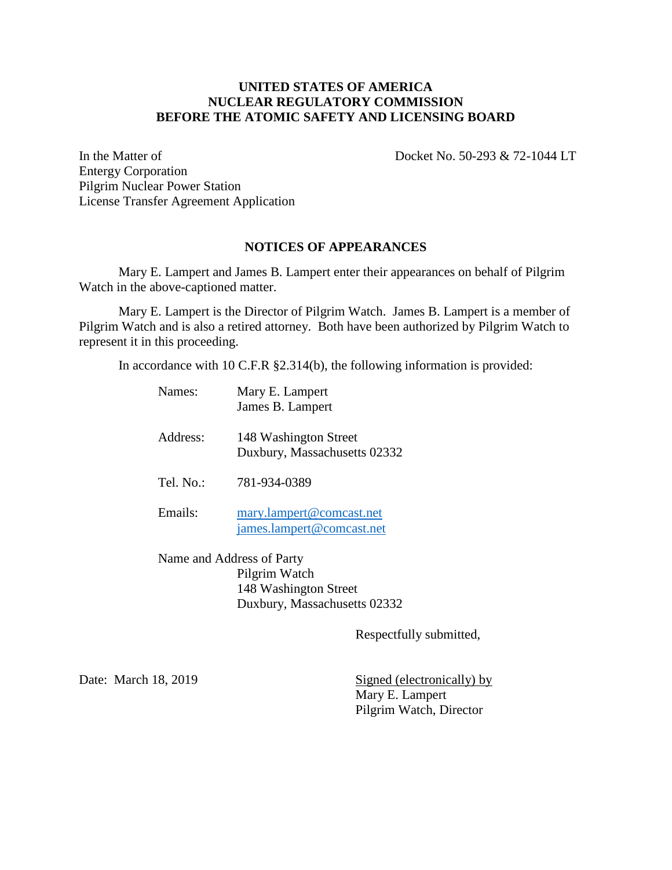## **UNITED STATES OF AMERICA NUCLEAR REGULATORY COMMISSION BEFORE THE ATOMIC SAFETY AND LICENSING BOARD**

In the Matter of Docket No. 50-293 & 72-1044 LT

Entergy Corporation Pilgrim Nuclear Power Station License Transfer Agreement Application

## **NOTICES OF APPEARANCES**

Mary E. Lampert and James B. Lampert enter their appearances on behalf of Pilgrim Watch in the above-captioned matter.

Mary E. Lampert is the Director of Pilgrim Watch. James B. Lampert is a member of Pilgrim Watch and is also a retired attorney. Both have been authorized by Pilgrim Watch to represent it in this proceeding.

In accordance with 10 C.F.R §2.314(b), the following information is provided:

| Names:                    | Mary E. Lampert<br>James B. Lampert                   |
|---------------------------|-------------------------------------------------------|
| Address:                  | 148 Washington Street<br>Duxbury, Massachusetts 02332 |
| Tel. No.:                 | 781-934-0389                                          |
| Emails:                   | mary.lampert@comcast.net<br>james.lampert@comcast.net |
| Name and Address of Party |                                                       |

Pilgrim Watch 148 Washington Street Duxbury, Massachusetts 02332

Respectfully submitted,

Date: March 18, 2019 Signed (electronically) by Mary E. Lampert Pilgrim Watch, Director